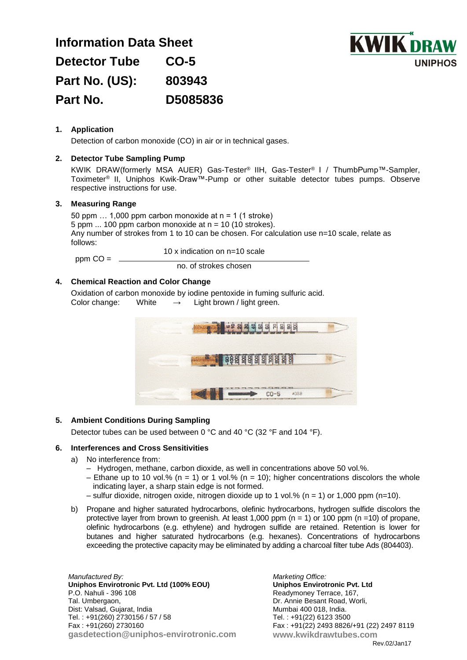| <b>Information Data Sheet</b> |          |
|-------------------------------|----------|
| <b>Detector Tube</b>          | $CO-5$   |
| Part No. (US):                | 803943   |
| Part No.                      | D5085836 |



# **1. Application**

Detection of carbon monoxide (CO) in air or in technical gases.

# **2. Detector Tube Sampling Pump**

KWIK DRAW(formerly MSA AUER) Gas-Tester® IIH, Gas-Tester® I / ThumbPump™-Sampler, Toximeter® II, Uniphos Kwik-Draw™-Pump or other suitable detector tubes pumps. Observe respective instructions for use.

### **3. Measuring Range**

50 ppm  $\ldots$  1,000 ppm carbon monoxide at n = 1 (1 stroke) 5 ppm  $\ldots$  100 ppm carbon monoxide at n = 10 (10 strokes). Any number of strokes from 1 to 10 can be chosen. For calculation use n=10 scale, relate as follows:

 $ppm CO =$   $\_\_$ 

 10 x indication on n=10 scale no. of strokes chosen

#### **4. Chemical Reaction and Color Change**

Oxidation of carbon monoxide by iodine pentoxide in fuming sulfuric acid. Color change: White  $\rightarrow$  Light brown / light green.



## **5. Ambient Conditions During Sampling**

Detector tubes can be used between 0 °C and 40 °C (32 °F and 104 °F).

### **6. Interferences and Cross Sensitivities**

- a) No interference from:
	- Hydrogen, methane, carbon dioxide, as well in concentrations above 50 vol.%.
	- Ethane up to 10 vol.% ( $n = 1$ ) or 1 vol.% ( $n = 10$ ); higher concentrations discolors the whole indicating layer, a sharp stain edge is not formed.
	- sulfur dioxide, nitrogen oxide, nitrogen dioxide up to 1 vol.% ( $n = 1$ ) or 1,000 ppm ( $n=10$ ).
- b) Propane and higher saturated hydrocarbons, olefinic hydrocarbons, hydrogen sulfide discolors the protective layer from brown to greenish. At least 1,000 ppm  $(n = 1)$  or 100 ppm  $(n = 10)$  of propane, olefinic hydrocarbons (e.g. ethylene) and hydrogen sulfide are retained. Retention is lower for butanes and higher saturated hydrocarbons (e.g. hexanes). Concentrations of hydrocarbons exceeding the protective capacity may be eliminated by adding a charcoal filter tube Ads (804403).

*Manufactured By:* **Uniphos Envirotronic Pvt. Ltd (100% EOU)** P.O. Nahuli - 396 108 Tal. Umbergaon, Dist: Valsad, Gujarat, India Tel. : +91(260) 2730156 / 57 / 58 Fax : +91(260) 2730160 **gasdetection@uniphos-envirotronic.com**

*Marketing Office:* **Uniphos Envirotronic Pvt. Ltd** Readymoney Terrace, 167, Dr. Annie Besant Road, Worli, Mumbai 400 018, India. Tel. : +91(22) 6123 3500 Fax : +91(22) 2493 8826/+91 (22) 2497 8119 **www.kwikdrawtubes.com** Rev.02/Jan17